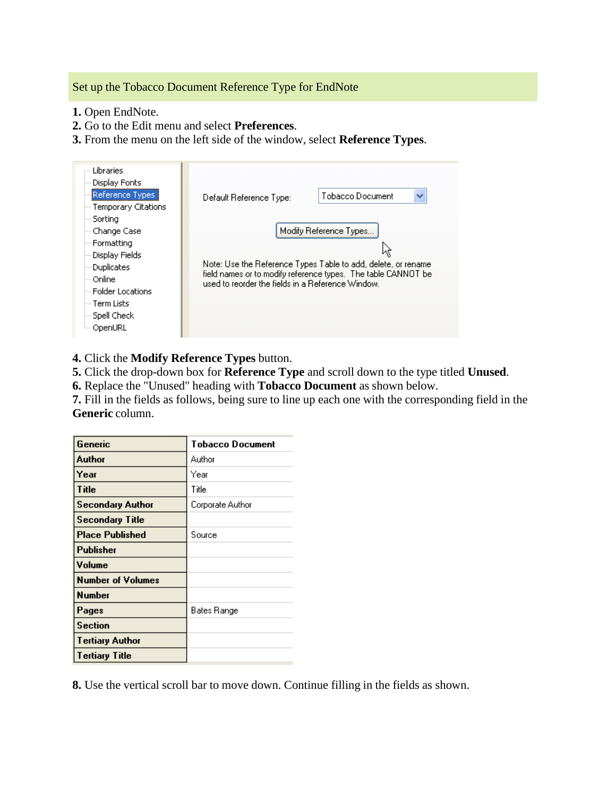Set up the Tobacco Document Reference Type for EndNote

- **1.** Open EndNote.
- **2.** Go to the Edit menu and select **Preferences**.
- **3.** From the menu on the left side of the window, select **Reference Types**.

| Libraries<br>Display Fonts<br>Reference Types<br>-- Temporary Citations                                                                                       | Tobacco Document<br>Default Reference Type:                                                                                                                                                                   |
|---------------------------------------------------------------------------------------------------------------------------------------------------------------|---------------------------------------------------------------------------------------------------------------------------------------------------------------------------------------------------------------|
| -- Sorting<br>-- Change Case<br>--- Formatting<br>Display Fields<br>-- Duplicates<br>Online<br>- Folder Locations<br>— Term Lists<br>Spell Check<br>≔ OpenURL | Modify Reference Types<br>Note: Use the Reference Types Table to add, delete, or rename<br>field names or to modify reference types. The table CANNOT be<br>used to reorder the fields in a Reference Window. |

**4.** Click the **Modify Reference Types** button.

**5.** Click the drop-down box for **Reference Type** and scroll down to the type titled **Unused**.

**6.** Replace the "Unused" heading with **Tobacco Document** as shown below.

**7.** Fill in the fields as follows, being sure to line up each one with the corresponding field in the **Generic** column.

| Generic                  | Tobacco Document |
|--------------------------|------------------|
| Author                   | Author           |
| Year                     | Year             |
| Title                    | Title            |
| <b>Secondary Author</b>  | Corporate Author |
| <b>Secondary Title</b>   |                  |
| <b>Place Published</b>   | Source           |
| Publisher                |                  |
| Volume                   |                  |
| <b>Number of Volumes</b> |                  |
| <b>Number</b>            |                  |
| Pages                    | Bates Range      |
| <b>Section</b>           |                  |
| Tertiary Author          |                  |
| Tertiary Title           |                  |

**8.** Use the vertical scroll bar to move down. Continue filling in the fields as shown.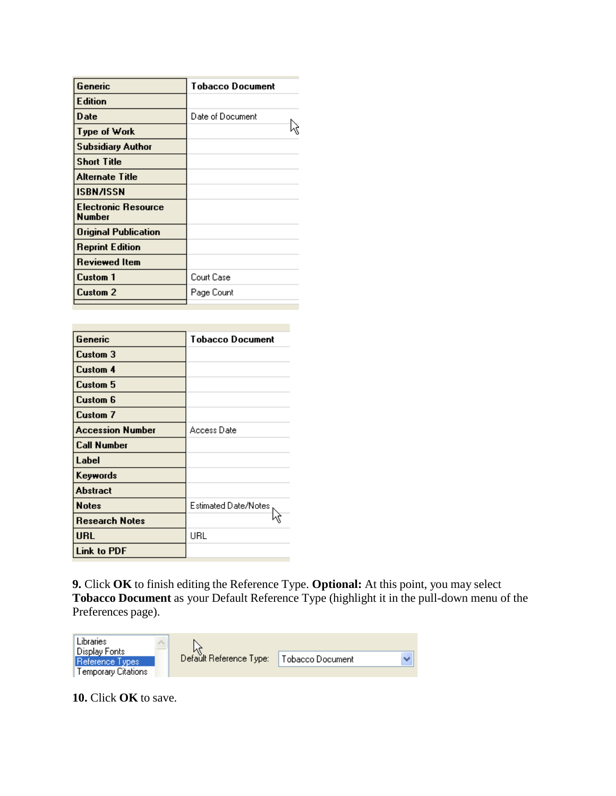| Generic                                     | Tobacco Document |
|---------------------------------------------|------------------|
| <b>Edition</b>                              |                  |
| <b>Date</b>                                 | Date of Document |
| Type of Work                                |                  |
| <b>Subsidiary Author</b>                    |                  |
| <b>Short Title</b>                          |                  |
| Alternate Title                             |                  |
| <b>ISBN/ISSN</b>                            |                  |
| <b>Electronic Resource</b><br><b>Number</b> |                  |
| Original Publication                        |                  |
| <b>Reprint Edition</b>                      |                  |
| <b>Reviewed Item</b>                        |                  |
| <b>Custom 1</b>                             | Court Case       |
| <b>Custom 2</b>                             | Page Count       |

| Generic                 | Tobacco Document     |
|-------------------------|----------------------|
| Custom 3                |                      |
| Custom 4                |                      |
| Custom 5                |                      |
| Custom 6                |                      |
| <b>Custom 7</b>         |                      |
| <b>Accession Number</b> | Access Date          |
| <b>Call Number</b>      |                      |
| Label                   |                      |
| Keywords                |                      |
| <b>Abstract</b>         |                      |
| <b>Notes</b>            | Estimated Date/Notes |
| <b>Research Notes</b>   |                      |
| <b>URL</b>              | URL                  |
| <b>Link to PDF</b>      |                      |

**9.** Click **OK** to finish editing the Reference Type. **Optional:** At this point, you may select **Tobacco Document** as your Default Reference Type (highlight it in the pull-down menu of the Preferences page).



**10.** Click **OK** to save.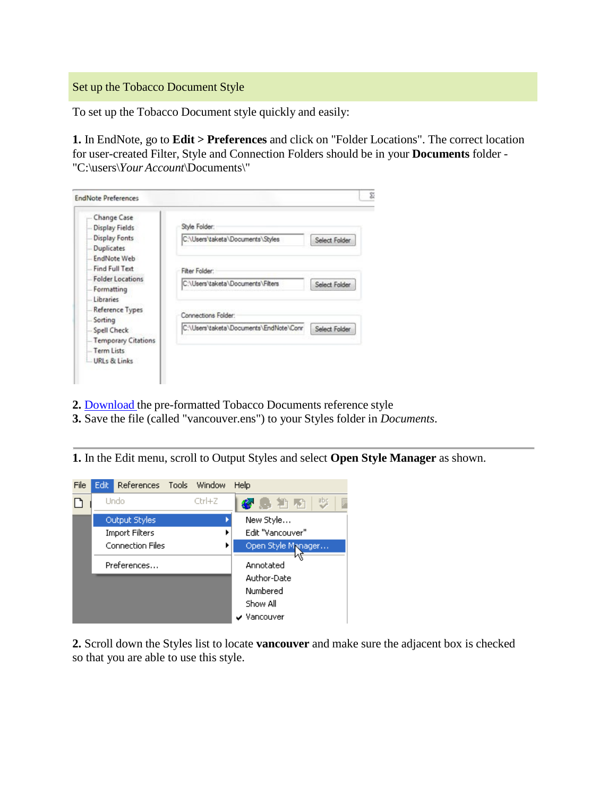## Set up the Tobacco Document Style

To set up the Tobacco Document style quickly and easily:

**1.** In EndNote, go to **Edit > Preferences** and click on "Folder Locations". The correct location for user-created Filter, Style and Connection Folders should be in your **Documents** folder - "C:\users\*Your Account*\Documents\"

| Change Case<br><b>Display Fields</b>       | Style Folder:                          |               |
|--------------------------------------------|----------------------------------------|---------------|
| <b>Display Fonts</b><br>Duplicates         | C:\Users\taketa\Documents\Styles       | Select Folder |
| EndNote Web<br>Find Full Text              | Fitter Folder:                         |               |
| <b>Folder Locations</b><br>Formatting      | C:\Users\taketa\Documents\Filters      | Select Folder |
| <b>Libraries</b><br>Reference Types        | Connections Folder:                    |               |
| Sorting<br>Spell Check                     | C:\Users\taketa\Documents\EndNote\Conr | Select Folder |
| <b>Temporary Citations</b><br>- Term Lists |                                        |               |

- **2.** [Download](https://www.industrydocumentslibrary.ucsf.edu/tobacco/help/citation/) the pre-formatted Tobacco Documents reference style
- **3.** Save the file (called "vancouver.ens") to your Styles folder in *Documents*.

**1.** In the Edit menu, scroll to Output Styles and select **Open Style Manager** as shown.



**2.** Scroll down the Styles list to locate **vancouver** and make sure the adjacent box is checked so that you are able to use this style.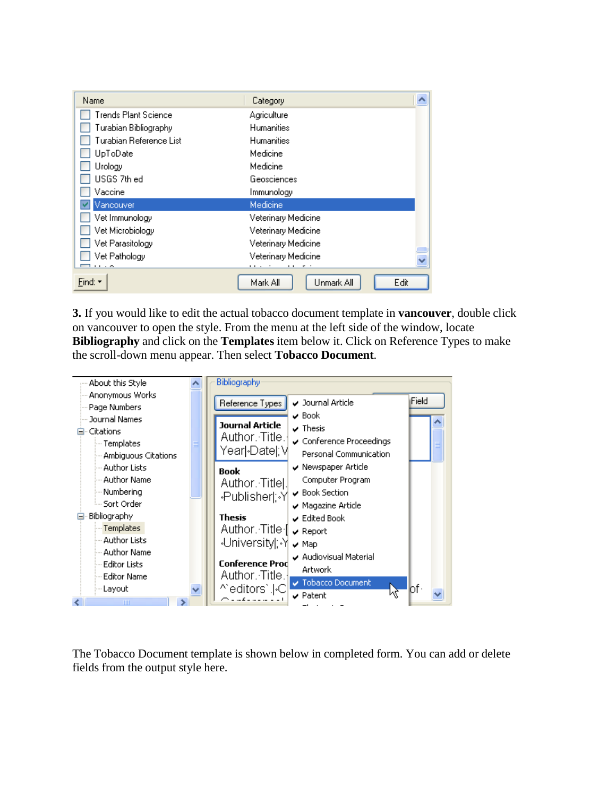| Name                    | Category                      |      |
|-------------------------|-------------------------------|------|
| Trends Plant Science.   | Agriculture                   |      |
| Turabian Bibliography   | <b>Humanities</b>             |      |
| Turabian Reference List | <b>Humanities</b>             |      |
| UpToDate                | Medicine                      |      |
| Urology                 | Medicine                      |      |
| USGS 7th ed             | Geosciences                   |      |
| Vaccine                 | Immunology                    |      |
| Vancouver               | Medicine                      |      |
| Vet Immunology          | Veterinary Medicine           |      |
| Vet Microbiology        | Veterinary Medicine           |      |
| Vet Parasitology        | Veterinary Medicine           |      |
| Vet Pathology           | Veterinary Medicine           |      |
| 1.1.7                   | $\mathbf{r}$<br>.<br>$\cdots$ |      |
| Find: $\star$           | Unmark All<br>Mark All        | Edit |

**3.** If you would like to edit the actual tobacco document template in **vancouver**, double click on vancouver to open the style. From the menu at the left side of the window, locate **Bibliography** and click on the **Templates** item below it. Click on Reference Types to make the scroll-down menu appear. Then select **Tobacco Document**.



The Tobacco Document template is shown below in completed form. You can add or delete fields from the output style here.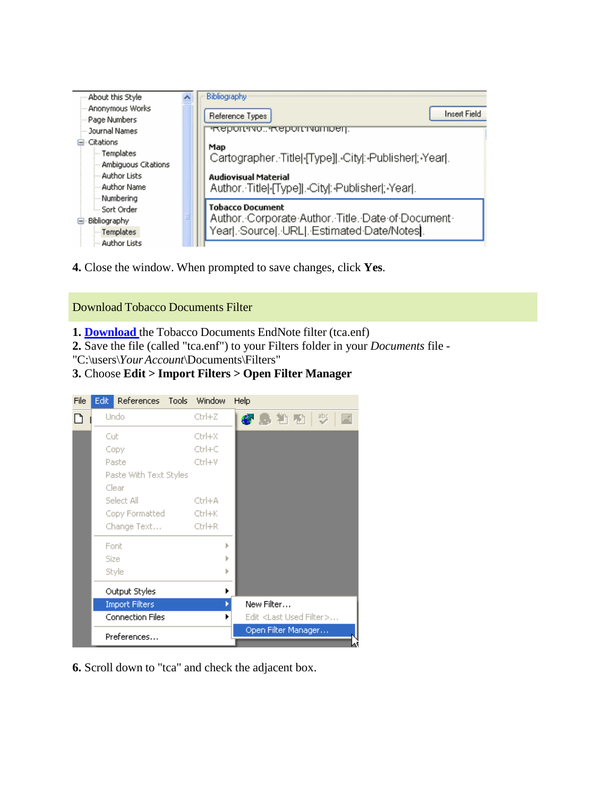

**4.** Close the window. When prompted to save changes, click **Yes**.

## Download Tobacco Documents Filter

- **1. [Download](https://www.industrydocumentslibrary.ucsf.edu/tobacco/help/citation/)** the Tobacco Documents EndNote filter (tca.enf)
- **2.** Save the file (called "tca.enf") to your Filters folder in your *Documents* file -
- "C:\users\*YourAccount*\Documents\Filters"
- **3.** Choose **Edit > Import Filters > Open Filter Manager**



**6.** Scroll down to "tca" and check the adjacent box.